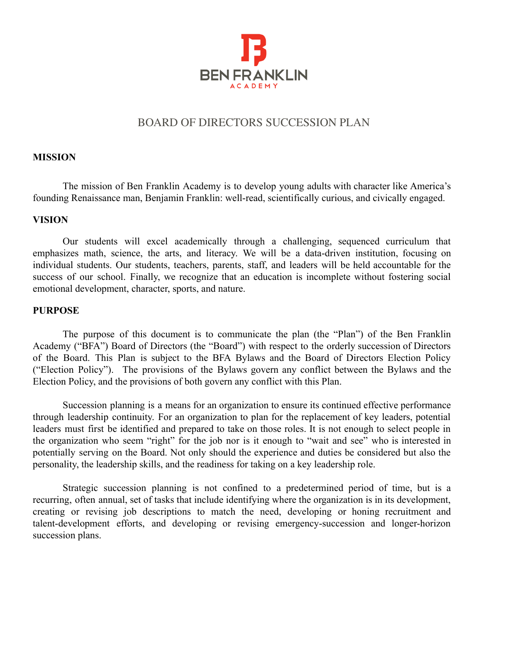

## BOARD OF DIRECTORS SUCCESSION PLAN

#### **MISSION**

The mission of Ben Franklin Academy is to develop young adults with character like America's founding Renaissance man, Benjamin Franklin: well-read, scientifically curious, and civically engaged.

## **VISION**

Our students will excel academically through a challenging, sequenced curriculum that emphasizes math, science, the arts, and literacy. We will be a data-driven institution, focusing on individual students. Our students, teachers, parents, staff, and leaders will be held accountable for the success of our school. Finally, we recognize that an education is incomplete without fostering social emotional development, character, sports, and nature.

#### **PURPOSE**

The purpose of this document is to communicate the plan (the "Plan") of the Ben Franklin Academy ("BFA") Board of Directors (the "Board") with respect to the orderly succession of Directors of the Board. This Plan is subject to the BFA Bylaws and the Board of Directors Election Policy ("Election Policy"). The provisions of the Bylaws govern any conflict between the Bylaws and the Election Policy, and the provisions of both govern any conflict with this Plan.

Succession planning is a means for an organization to ensure its continued effective performance through leadership continuity. For an organization to plan for the replacement of key leaders, potential leaders must first be identified and prepared to take on those roles. It is not enough to select people in the organization who seem "right" for the job nor is it enough to "wait and see" who is interested in potentially serving on the Board. Not only should the experience and duties be considered but also the personality, the leadership skills, and the readiness for taking on a key leadership role.

Strategic succession planning is not confined to a predetermined period of time, but is a recurring, often annual, set of tasks that include identifying where the organization is in its development, creating or revising job descriptions to match the need, developing or honing recruitment and talent-development efforts, and developing or revising emergency-succession and longer-horizon succession plans.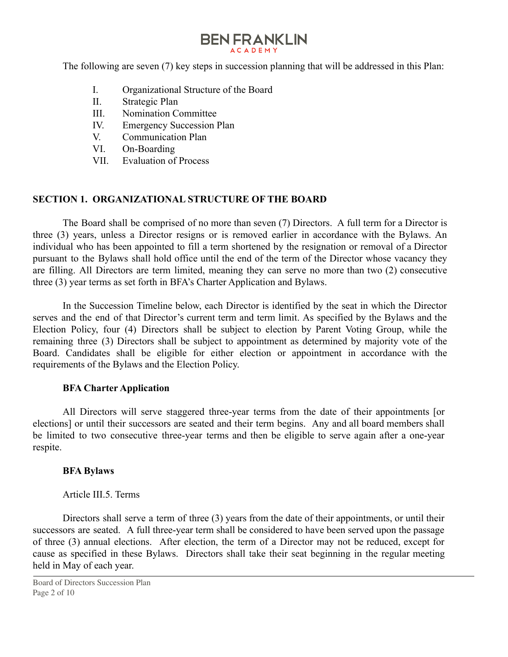The following are seven (7) key steps in succession planning that will be addressed in this Plan:

- I. Organizational Structure of the Board
- II. Strategic Plan
- III. Nomination Committee
- IV. Emergency Succession Plan
- V. Communication Plan
- VI. On-Boarding
- VII. Evaluation of Process

## **SECTION 1. ORGANIZATIONAL STRUCTURE OF THE BOARD**

The Board shall be comprised of no more than seven (7) Directors. A full term for a Director is three (3) years, unless a Director resigns or is removed earlier in accordance with the Bylaws. An individual who has been appointed to fill a term shortened by the resignation or removal of a Director pursuant to the Bylaws shall hold office until the end of the term of the Director whose vacancy they are filling. All Directors are term limited, meaning they can serve no more than two (2) consecutive three (3) year terms as set forth in BFA's Charter Application and Bylaws.

In the Succession Timeline below, each Director is identified by the seat in which the Director serves and the end of that Director's current term and term limit. As specified by the Bylaws and the Election Policy, four (4) Directors shall be subject to election by Parent Voting Group, while the remaining three (3) Directors shall be subject to appointment as determined by majority vote of the Board. Candidates shall be eligible for either election or appointment in accordance with the requirements of the Bylaws and the Election Policy.

## **BFA Charter Application**

All Directors will serve staggered three-year terms from the date of their appointments [or elections] or until their successors are seated and their term begins. Any and all board members shall be limited to two consecutive three-year terms and then be eligible to serve again after a one-year respite.

## **BFA Bylaws**

Article III.5. Terms

Directors shall serve a term of three (3) years from the date of their appointments, or until their successors are seated. A full three-year term shall be considered to have been served upon the passage of three (3) annual elections. After election, the term of a Director may not be reduced, except for cause as specified in these Bylaws. Directors shall take their seat beginning in the regular meeting held in May of each year.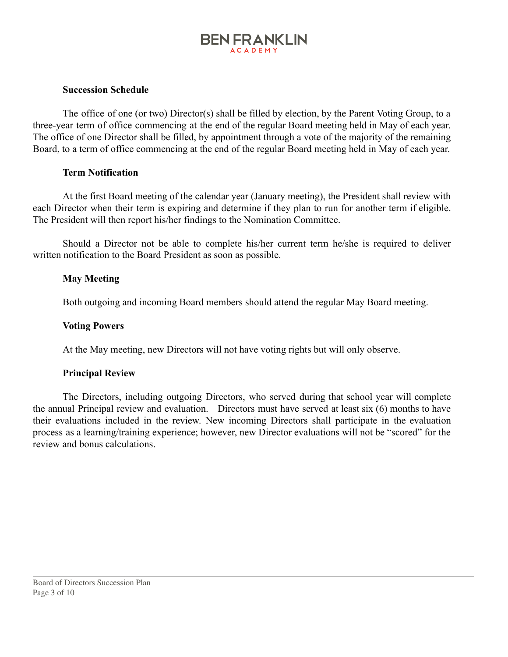## **BEN FRANKLIN ACADEMY**

### **Succession Schedule**

The office of one (or two) Director(s) shall be filled by election, by the Parent Voting Group, to a three-year term of office commencing at the end of the regular Board meeting held in May of each year. The office of one Director shall be filled, by appointment through a vote of the majority of the remaining Board, to a term of office commencing at the end of the regular Board meeting held in May of each year.

#### **Term Notification**

At the first Board meeting of the calendar year (January meeting), the President shall review with each Director when their term is expiring and determine if they plan to run for another term if eligible. The President will then report his/her findings to the Nomination Committee.

Should a Director not be able to complete his/her current term he/she is required to deliver written notification to the Board President as soon as possible.

## **May Meeting**

Both outgoing and incoming Board members should attend the regular May Board meeting.

#### **Voting Powers**

At the May meeting, new Directors will not have voting rights but will only observe.

#### **Principal Review**

The Directors, including outgoing Directors, who served during that school year will complete the annual Principal review and evaluation. Directors must have served at least six (6) months to have their evaluations included in the review. New incoming Directors shall participate in the evaluation process as a learning/training experience; however, new Director evaluations will not be "scored" for the review and bonus calculations.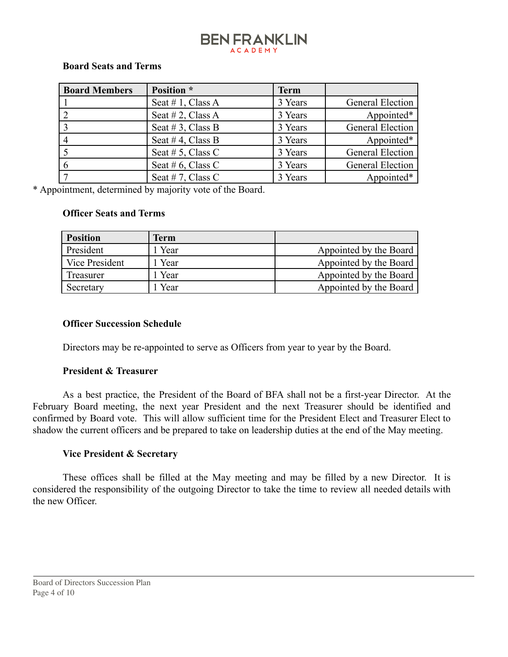## **BEN FRANKLIN ACADEMY**

#### **Board Seats and Terms**

| <b>Board Members</b> | Position *        | <b>Term</b> |                  |
|----------------------|-------------------|-------------|------------------|
|                      | Seat #1, Class A  | 3 Years     | General Election |
|                      | Seat # 2, Class A | 3 Years     | Appointed*       |
|                      | Seat #3, Class B  | 3 Years     | General Election |
|                      | Seat #4, Class B  | 3 Years     | Appointed*       |
|                      | Seat # 5, Class C | 3 Years     | General Election |
|                      | Seat # 6, Class C | 3 Years     | General Election |
|                      | Seat #7, Class C  | 3 Years     | Appointed*       |

\* Appointment, determined by majority vote of the Board.

### **Officer Seats and Terms**

| <b>Position</b> | Term |                        |
|-----------------|------|------------------------|
| President       | Year | Appointed by the Board |
| Vice President  | Year | Appointed by the Board |
| Treasurer       | Year | Appointed by the Board |
| Secretary       | Year | Appointed by the Board |

### **Officer Succession Schedule**

Directors may be re-appointed to serve as Officers from year to year by the Board.

#### **President & Treasurer**

As a best practice, the President of the Board of BFA shall not be a first-year Director. At the February Board meeting, the next year President and the next Treasurer should be identified and confirmed by Board vote. This will allow sufficient time for the President Elect and Treasurer Elect to shadow the current officers and be prepared to take on leadership duties at the end of the May meeting.

## **Vice President & Secretary**

These offices shall be filled at the May meeting and may be filled by a new Director. It is considered the responsibility of the outgoing Director to take the time to review all needed details with the new Officer.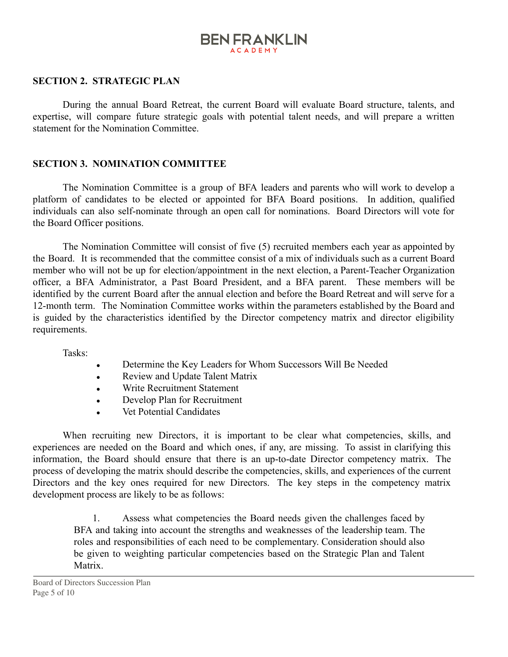## **BEN FRANKLIN ACADEM**

#### **SECTION 2. STRATEGIC PLAN**

During the annual Board Retreat, the current Board will evaluate Board structure, talents, and expertise, will compare future strategic goals with potential talent needs, and will prepare a written statement for the Nomination Committee.

#### **SECTION 3. NOMINATION COMMITTEE**

The Nomination Committee is a group of BFA leaders and parents who will work to develop a platform of candidates to be elected or appointed for BFA Board positions. In addition, qualified individuals can also self-nominate through an open call for nominations. Board Directors will vote for the Board Officer positions.

The Nomination Committee will consist of five (5) recruited members each year as appointed by the Board. It is recommended that the committee consist of a mix of individuals such as a current Board member who will not be up for election/appointment in the next election, a Parent-Teacher Organization officer, a BFA Administrator, a Past Board President, and a BFA parent. These members will be identified by the current Board after the annual election and before the Board Retreat and will serve for a 12-month term. The Nomination Committee works within the parameters established by the Board and is guided by the characteristics identified by the Director competency matrix and director eligibility requirements.

Tasks:

- Determine the Key Leaders for Whom Successors Will Be Needed
- Review and Update Talent Matrix
- Write Recruitment Statement
- Develop Plan for Recruitment
- Vet Potential Candidates

When recruiting new Directors, it is important to be clear what competencies, skills, and experiences are needed on the Board and which ones, if any, are missing. To assist in clarifying this information, the Board should ensure that there is an up-to-date Director competency matrix. The process of developing the matrix should describe the competencies, skills, and experiences of the current Directors and the key ones required for new Directors. The key steps in the competency matrix development process are likely to be as follows:

1. Assess what competencies the Board needs given the challenges faced by BFA and taking into account the strengths and weaknesses of the leadership team. The roles and responsibilities of each need to be complementary. Consideration should also be given to weighting particular competencies based on the Strategic Plan and Talent Matrix.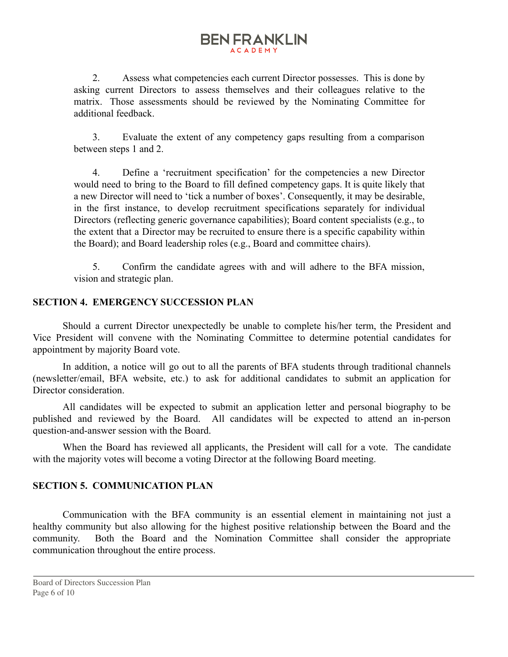## **BEN FRANKLIN ACADEM**

2. Assess what competencies each current Director possesses. This is done by asking current Directors to assess themselves and their colleagues relative to the matrix. Those assessments should be reviewed by the Nominating Committee for additional feedback.

3. Evaluate the extent of any competency gaps resulting from a comparison between steps 1 and 2.

4. Define a 'recruitment specification' for the competencies a new Director would need to bring to the Board to fill defined competency gaps. It is quite likely that a new Director will need to 'tick a number of boxes'. Consequently, it may be desirable, in the first instance, to develop recruitment specifications separately for individual Directors (reflecting generic governance capabilities); Board content specialists (e.g., to the extent that a Director may be recruited to ensure there is a specific capability within the Board); and Board leadership roles (e.g., Board and committee chairs).

5. Confirm the candidate agrees with and will adhere to the BFA mission, vision and strategic plan.

### **SECTION 4. EMERGENCY SUCCESSION PLAN**

Should a current Director unexpectedly be unable to complete his/her term, the President and Vice President will convene with the Nominating Committee to determine potential candidates for appointment by majority Board vote.

In addition, a notice will go out to all the parents of BFA students through traditional channels (newsletter/email, BFA website, etc.) to ask for additional candidates to submit an application for Director consideration.

All candidates will be expected to submit an application letter and personal biography to be published and reviewed by the Board. All candidates will be expected to attend an in-person question-and-answer session with the Board.

When the Board has reviewed all applicants, the President will call for a vote. The candidate with the majority votes will become a voting Director at the following Board meeting.

## **SECTION 5. COMMUNICATION PLAN**

Communication with the BFA community is an essential element in maintaining not just a healthy community but also allowing for the highest positive relationship between the Board and the community. Both the Board and the Nomination Committee shall consider the appropriate communication throughout the entire process.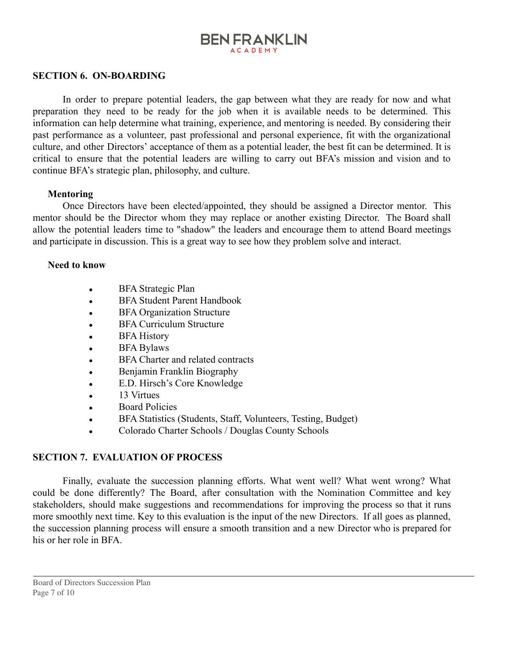## **BEN FRANKLIN ACADEMY**

#### **SECTION 6. ON-BOARDING**

In order to prepare potential leaders, the gap between what they are ready for now and what preparation they need to be ready for the job when it is available needs to be determined. This information can help determine what training, experience, and mentoring is needed. By considering their past performance as a volunteer, past professional and personal experience, fit with the organizational culture, and other Directors' acceptance of them as a potential leader, the best fit can be determined. It is critical to ensure that the potential leaders are willing to carry out BFA's mission and vision and to continue BFA's strategic plan, philosophy, and culture.

#### **Mentoring**

Once Directors have been elected/appointed, they should be assigned a Director mentor. This mentor should be the Director whom they may replace or another existing Director. The Board shall allow the potential leaders time to "shadow" the leaders and encourage them to attend Board meetings and participate in discussion. This is a great way to see how they problem solve and interact.

#### **Need to know**

- BFA Strategic Plan
- BFA Student Parent Handbook
- BFA Organization Structure
- **BFA Curriculum Structure**
- BFA History
- $\bullet$  BFA Bylaws
- BFA Charter and related contracts
- Benjamin Franklin Biography
- E.D. Hirsch's Core Knowledge
- 13 Virtues
- Board Policies
- BFA Statistics (Students, Staff, Volunteers, Testing, Budget)
- Colorado Charter Schools / Douglas County Schools

#### **SECTION 7. EVALUATION OF PROCESS**

Finally, evaluate the succession planning efforts. What went well? What went wrong? What could be done differently? The Board, after consultation with the Nomination Committee and key stakeholders, should make suggestions and recommendations for improving the process so that it runs more smoothly next time. Key to this evaluation is the input of the new Directors. If all goes as planned, the succession planning process will ensure a smooth transition and a new Director who is prepared for his or her role in BFA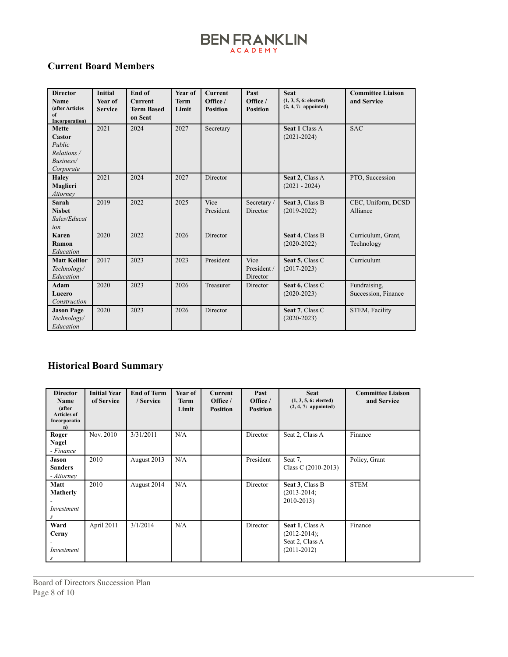## **Current Board Members**

| <b>Director</b><br>Name<br>(after Articles<br>of<br>Incorporation)        | <b>Initial</b><br><b>Year of</b><br><b>Service</b> | End of<br>Current<br><b>Term Based</b><br>on Seat | Year of<br><b>Term</b><br>Limit | <b>Current</b><br>Office /<br><b>Position</b> | Past<br>Office /<br><b>Position</b> | <b>Seat</b><br>(1, 3, 5, 6; elected)<br>$(2, 4, 7:$ appointed) | <b>Committee Liaison</b><br>and Service |
|---------------------------------------------------------------------------|----------------------------------------------------|---------------------------------------------------|---------------------------------|-----------------------------------------------|-------------------------------------|----------------------------------------------------------------|-----------------------------------------|
| <b>Mette</b><br>Castor<br>Public<br>Relations /<br>Business/<br>Corporate | 2021                                               | 2024                                              | 2027                            | Secretary                                     |                                     | Seat 1 Class A<br>$(2021 - 2024)$                              | <b>SAC</b>                              |
| <b>Haley</b><br>Maglieri<br>Attorney                                      | 2021                                               | 2024                                              | 2027                            | Director                                      |                                     | Seat 2, Class A<br>$(2021 - 2024)$                             | PTO, Succession                         |
| Sarah<br><b>Nisbet</b><br>Sales/Educat<br>ion                             | 2019                                               | 2022                                              | 2025                            | Vice<br>President                             | Secretary/<br>Director              | Seat 3, Class B<br>$(2019-2022)$                               | CEC, Uniform, DCSD<br>Alliance          |
| Karen<br>Ramon<br>Education                                               | 2020                                               | 2022                                              | 2026                            | Director                                      |                                     | Seat 4, Class B<br>$(2020 - 2022)$                             | Curriculum, Grant,<br>Technology        |
| <b>Matt Keillor</b><br>Technology/<br>Education                           | 2017                                               | 2023                                              | 2023                            | President                                     | Vice<br>President /<br>Director     | Seat 5, Class C<br>$(2017 - 2023)$                             | Curriculum                              |
| Adam<br>Lucero<br>Construction                                            | 2020                                               | 2023                                              | 2026                            | Treasurer                                     | Director                            | Seat 6, Class C<br>$(2020 - 2023)$                             | Fundraising.<br>Succession, Finance     |
| <b>Jason Page</b><br>Technology/<br>Education                             | 2020                                               | 2023                                              | 2026                            | Director                                      |                                     | Seat 7, Class C<br>$(2020 - 2023)$                             | STEM, Facility                          |

## **Historical Board Summary**

| <b>Director</b><br>Name<br>(after<br><b>Articles of</b><br>Incorporatio<br>n) | <b>Initial Year</b><br>of Service | <b>End of Term</b><br>/ Service | Year of<br><b>Term</b><br>Limit | <b>Current</b><br>Office /<br><b>Position</b> | Past<br>Office /<br><b>Position</b> | <b>Seat</b><br>(1, 3, 5, 6; elected)<br>$(2, 4, 7:$ appointed)            | <b>Committee Liaison</b><br>and Service |
|-------------------------------------------------------------------------------|-----------------------------------|---------------------------------|---------------------------------|-----------------------------------------------|-------------------------------------|---------------------------------------------------------------------------|-----------------------------------------|
| Roger<br>Nagel<br>- Finance                                                   | Nov. 2010                         | 3/31/2011                       | N/A                             |                                               | Director                            | Seat 2, Class A                                                           | Finance                                 |
| Jason<br><b>Sanders</b><br>- Attorney                                         | 2010                              | August 2013                     | N/A                             |                                               | President                           | Seat 7.<br>Class C $(2010-2013)$                                          | Policy, Grant                           |
| Matt<br>Matherly<br>Investment<br>S                                           | 2010                              | August 2014                     | N/A                             |                                               | Director                            | Seat 3, Class B<br>$(2013 - 2014)$<br>2010-2013)                          | <b>STEM</b>                             |
| Ward<br>Cerny<br>Investment<br>S                                              | April 2011                        | 3/1/2014                        | N/A                             |                                               | Director                            | Seat 1, Class A<br>$(2012 - 2014);$<br>Seat 2, Class A<br>$(2011 - 2012)$ | Finance                                 |

Board of Directors Succession Plan Page 8 of 10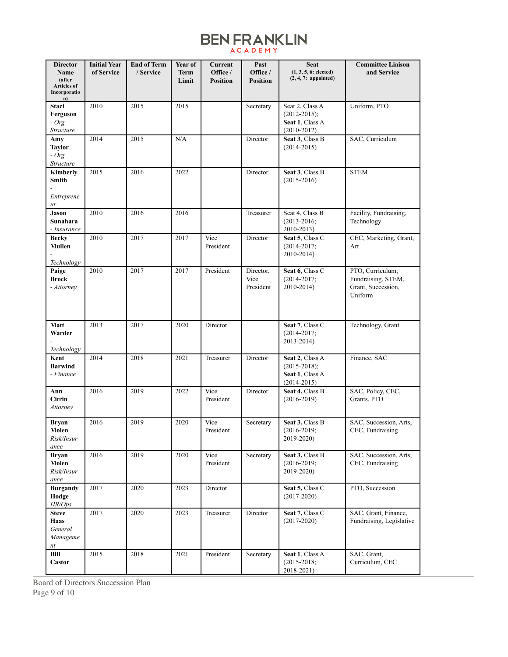| <b>Director</b><br>Name                            | <b>Initial Year</b><br>of Service | <b>End of Term</b><br>/ Service | Year of<br><b>Term</b> | Current<br>Office / | Past<br>Office /               | <b>Seat</b><br>(1, 3, 5, 6; elected)                                      | <b>Committee Liaison</b><br>and Service                                 |
|----------------------------------------------------|-----------------------------------|---------------------------------|------------------------|---------------------|--------------------------------|---------------------------------------------------------------------------|-------------------------------------------------------------------------|
| (after<br><b>Articles of</b><br>Incorporatio<br>n) |                                   |                                 | Limit                  | <b>Position</b>     | <b>Position</b>                | $(2, 4, 7:$ appointed)                                                    |                                                                         |
| Staci<br>Ferguson<br>$-Org.$<br>Structure          | 2010                              | 2015                            | 2015                   |                     | Secretary                      | Seat 2, Class A<br>$(2012 - 2015);$<br>Seat 1, Class A<br>$(2010-2012)$   | Uniform, PTO                                                            |
| Amy<br><b>Taylor</b><br>$-Org.$<br>Structure       | 2014                              | 2015                            | N/A                    |                     | Director                       | Seat 3, Class B<br>$(2014 - 2015)$                                        | SAC, Curriculum                                                         |
| Kimberly<br>Smith<br>Entreprene<br>ur              | 2015                              | 2016                            | 2022                   |                     | Director                       | Seat 3, Class B<br>$(2015 - 2016)$                                        | <b>STEM</b>                                                             |
| Jason<br>Sunahara<br>- Insurance                   | 2010                              | 2016                            | 2016                   |                     | Treasurer                      | Seat 4, Class B<br>$(2013 - 2016)$ ;<br>2010-2013)                        | Facility, Fundraising,<br>Technology                                    |
| <b>Becky</b><br>Mullen<br>Technology               | 2010                              | 2017                            | 2017                   | Vice<br>President   | Director                       | Seat 5, Class C<br>$(2014 - 2017)$ ;<br>2010-2014)                        | CEC, Marketing, Grant,<br>Art                                           |
| Paige<br><b>Brock</b><br>- Attorney                | 2010                              | 2017                            | 2017                   | President           | Director,<br>Vice<br>President | Seat 6, Class C<br>$(2014 - 2017)$<br>2010-2014)                          | PTO, Curriculum,<br>Fundraising, STEM,<br>Grant, Succession,<br>Uniform |
| Matt<br>Warder<br>Technology                       | 2013                              | 2017                            | 2020                   | Director            |                                | Seat 7, Class C<br>$(2014 - 2017)$ ;<br>2013-2014)                        | Technology, Grant                                                       |
| Kent<br><b>Barwind</b><br>- Finance                | 2014                              | 2018                            | 2021                   | Treasurer           | Director                       | Seat 2, Class A<br>$(2015 - 2018);$<br>Seat 1, Class A<br>$(2014 - 2015)$ | Finance, SAC                                                            |
| Ann<br><b>Citrin</b><br><b>Attorney</b>            | 2016                              | 2019                            | 2022                   | Vice<br>President   | Director                       | Seat 4, Class B<br>$(2016 - 2019)$                                        | SAC, Policy, CEC,<br>Grants, PTO                                        |
| <b>Bryan</b><br>Molen<br>Risk/Insur<br>ance        | 2016                              | 2019                            | 2020                   | Vice<br>President   | Secretary                      | Seat 3, Class B<br>$(2016 - 2019;$<br>2019-2020)                          | SAC, Succession, Arts.<br>CEC, Fundraising                              |
| <b>Bryan</b><br>Molen<br>Risk/Insur<br>ance        | 2016                              | 2019                            | 2020                   | Vice<br>President   | Secretary                      | Seat 3, Class B<br>$(2016 - 2019)$ ;<br>2019-2020)                        | SAC, Succession, Arts,<br>CEC, Fundraising                              |
| <b>Burgandy</b><br>Hodge<br>HR/Ops                 | 2017                              | 2020                            | 2023                   | Director            |                                | Seat 5, Class C<br>$(2017 - 2020)$                                        | PTO, Succession                                                         |
| <b>Steve</b><br>Haas<br>General<br>Manageme<br>nt  | 2017                              | 2020                            | 2023                   | Treasurer           | Director                       | Seat 7, Class C<br>$(2017 - 2020)$                                        | SAC, Grant, Finance,<br>Fundraising, Legislative                        |
| Bill<br>Castor                                     | 2015                              | 2018                            | 2021                   | President           | Secretary                      | Seat 1, Class A<br>$(2015 - 2018)$<br>2018-2021)                          | SAC, Grant,<br>Curriculum, CEC                                          |

Board of Directors Succession Plan Page 9 of 10